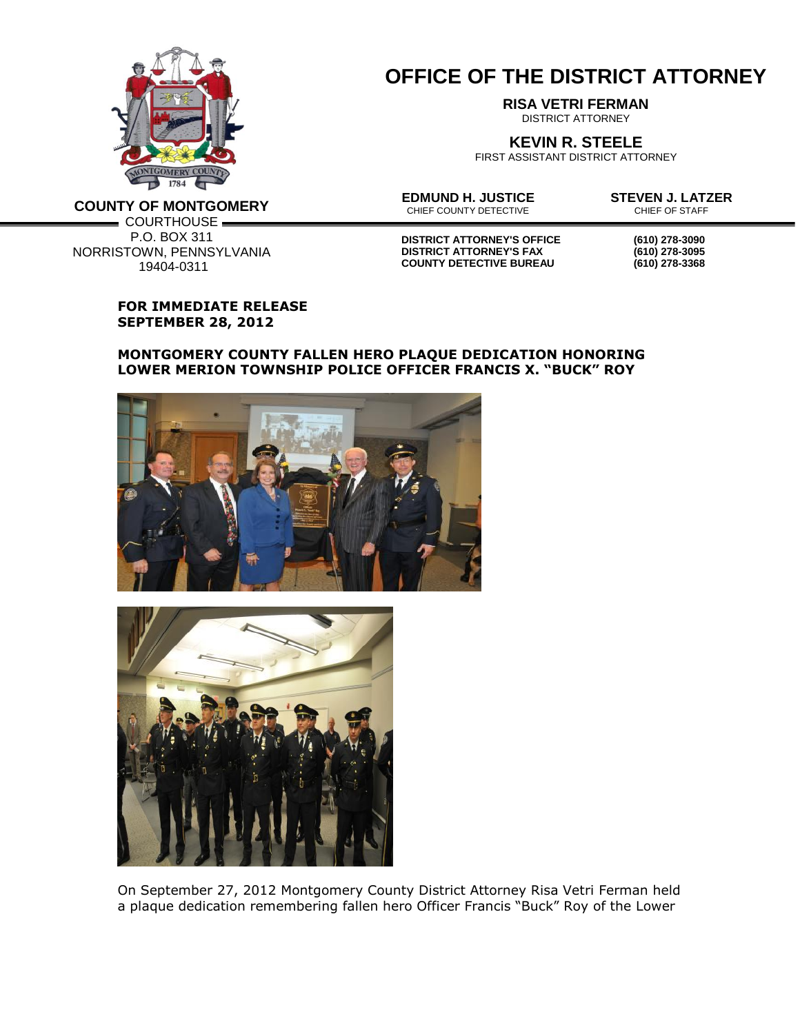

**COUNTY OF MONTGOMERY**

P.O. BOX 311

19404-0311

## **OFFICE OF THE DISTRICT ATTORNEY**

**RISA VETRI FERMAN**

DISTRICT ATTORNEY

**KEVIN R. STEELE**

FIRST ASSISTANT DISTRICT ATTORNEY

**EDMUND H. JUSTICE**<br>
CHIEF COUNTY DETECTIVE<br>
CHIEF OF STAFF CHIEF COUNTY DETECTIVE

 $=$  COURTHOUSE  $=$ NORRISTOWN, PENNSYLVANIA

**DISTRICT ATTORNEY'S OFFICE (610) 278-3090 DISTRICT ATTORNEY'S FAX (610) 278-3095 COUNTY DETECTIVE BUREAU (610) 278-3368**

## **FOR IMMEDIATE RELEASE SEPTEMBER 28, 2012**

## **MONTGOMERY COUNTY FALLEN HERO PLAQUE DEDICATION HONORING LOWER MERION TOWNSHIP POLICE OFFICER FRANCIS X. "BUCK" ROY**





On September 27, 2012 Montgomery County District Attorney Risa Vetri Ferman held a plaque dedication remembering fallen hero Officer Francis "Buck" Roy of the Lower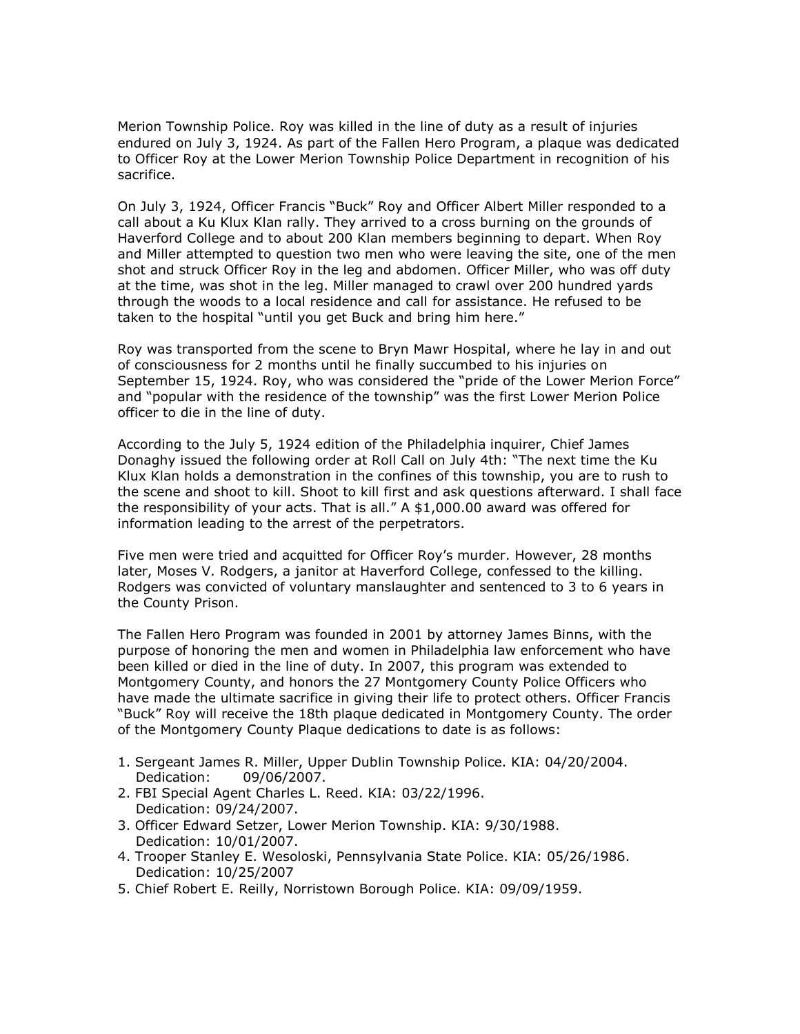Merion Township Police. Roy was killed in the line of duty as a result of injuries endured on July 3, 1924. As part of the Fallen Hero Program, a plaque was dedicated to Officer Roy at the Lower Merion Township Police Department in recognition of his sacrifice.

On July 3, 1924, Officer Francis "Buck" Roy and Officer Albert Miller responded to a call about a Ku Klux Klan rally. They arrived to a cross burning on the grounds of Haverford College and to about 200 Klan members beginning to depart. When Roy and Miller attempted to question two men who were leaving the site, one of the men shot and struck Officer Roy in the leg and abdomen. Officer Miller, who was off duty at the time, was shot in the leg. Miller managed to crawl over 200 hundred yards through the woods to a local residence and call for assistance. He refused to be taken to the hospital "until you get Buck and bring him here."

Roy was transported from the scene to Bryn Mawr Hospital, where he lay in and out of consciousness for 2 months until he finally succumbed to his injuries on September 15, 1924. Roy, who was considered the "pride of the Lower Merion Force" and "popular with the residence of the township" was the first Lower Merion Police officer to die in the line of duty.

According to the July 5, 1924 edition of the Philadelphia inquirer, Chief James Donaghy issued the following order at Roll Call on July 4th: "The next time the Ku Klux Klan holds a demonstration in the confines of this township, you are to rush to the scene and shoot to kill. Shoot to kill first and ask questions afterward. I shall face the responsibility of your acts. That is all." A \$1,000.00 award was offered for information leading to the arrest of the perpetrators.

Five men were tried and acquitted for Officer Roy's murder. However, 28 months later, Moses V. Rodgers, a janitor at Haverford College, confessed to the killing. Rodgers was convicted of voluntary manslaughter and sentenced to 3 to 6 years in the County Prison.

The Fallen Hero Program was founded in 2001 by attorney James Binns, with the purpose of honoring the men and women in Philadelphia law enforcement who have been killed or died in the line of duty. In 2007, this program was extended to Montgomery County, and honors the 27 Montgomery County Police Officers who have made the ultimate sacrifice in giving their life to protect others. Officer Francis "Buck" Roy will receive the 18th plaque dedicated in Montgomery County. The order of the Montgomery County Plaque dedications to date is as follows:

- 1. Sergeant James R. Miller, Upper Dublin Township Police. KIA: 04/20/2004. Dedication: 09/06/2007.
- 2. FBI Special Agent Charles L. Reed. KIA: 03/22/1996. Dedication: 09/24/2007.
- 3. Officer Edward Setzer, Lower Merion Township. KIA: 9/30/1988. Dedication: 10/01/2007.
- 4. Trooper Stanley E. Wesoloski, Pennsylvania State Police. KIA: 05/26/1986. Dedication: 10/25/2007
- 5. Chief Robert E. Reilly, Norristown Borough Police. KIA: 09/09/1959.